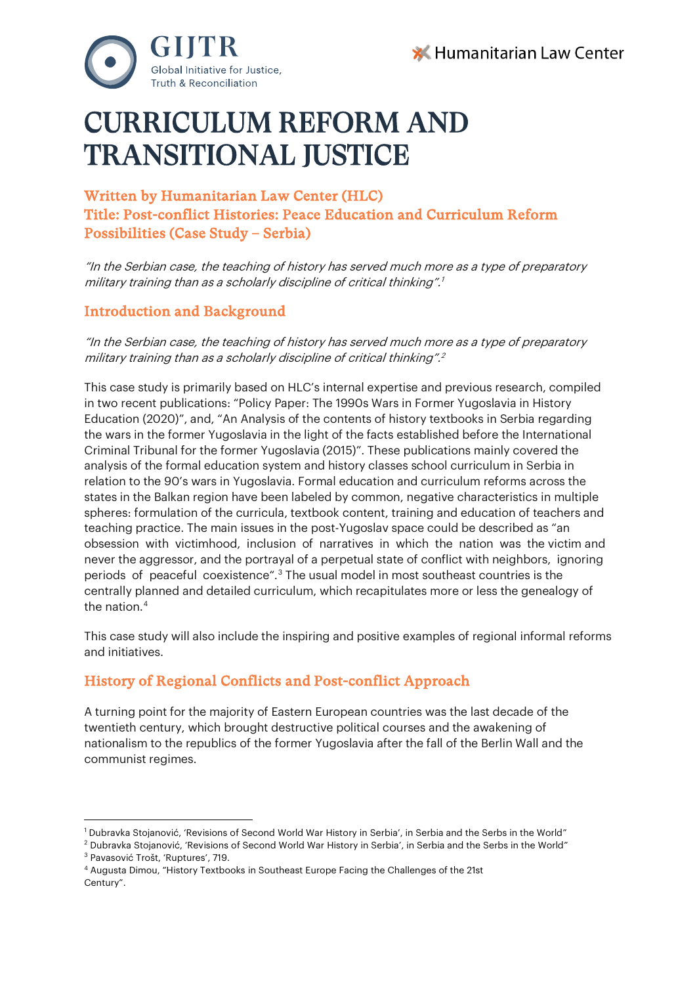



# CURRICULUM REFORM AND TRANSITIONAL JUSTICE

# Written by Humanitarian Law Center (HLC) Title: Post-conflict Histories: Peace Education and Curriculum Reform Possibilities (Case Study – Serbia)

"In the Serbian case, the teaching of history has served much more as a type of preparatory military training than as a scholarly discipline of critical thinking".<sup>1</sup>

## Introduction and Background

"In the Serbian case, the teaching of history has served much more as a type of preparatory military training than as a scholarly discipline of critical thinking".<sup>[2](#page-0-0)</sup>

This case study is primarily based on HLC's internal expertise and previous research, compiled in two recent publications: "Policy Paper: The 1990s Wars in Former Yugoslavia in History Education (2020)", and, "An Analysis of the contents of history textbooks in Serbia regarding the wars in the former Yugoslavia in the light of the facts established before the International Criminal Tribunal for the former Yugoslavia (2015)". These publications mainly covered the analysis of the formal education system and history classes school curriculum in Serbia in relation to the 90's wars in Yugoslavia. Formal education and curriculum reforms across the states in the Balkan region have been labeled by common, negative characteristics in multiple spheres: formulation of the curricula, textbook content, training and education of teachers and teaching practice. The main issues in the post-Yugoslav space could be described as "an obsession with victimhood, inclusion of narratives in which the nation was the victim and never the aggressor, and the portrayal of a perpetual state of conflict with neighbors, ignoring periods of peaceful coexistence".[3](#page-0-1) The usual model in most southeast countries is the centrally planned and detailed curriculum, which recapitulates more or less the genealogy of the nation.[4](#page-0-2)

This case study will also include the inspiring and positive examples of regional informal reforms and initiatives.

## History of Regional Conflicts and Post-conflict Approach

A turning point for the majority of Eastern European countries was the last decade of the twentieth century, which brought destructive political courses and the awakening of nationalism to the republics of the former Yugoslavia after the fall of the Berlin Wall and the communist regimes.

<sup>1</sup> Dubravka Stojanović, 'Revisions of Second World War History in Serbia', in Serbia and the Serbs in the World"

<span id="page-0-1"></span><span id="page-0-0"></span> $2$  Dubravka Stojanović, 'Revisions of Second World War History in Serbia', in Serbia and the Serbs in the World" <sup>3</sup> Pavasović Trošt, 'Ruptures', 719.

<span id="page-0-2"></span><sup>4</sup> Augusta Dimou, "History Textbooks in Southeast Europe Facing the Challenges of the 21st Century".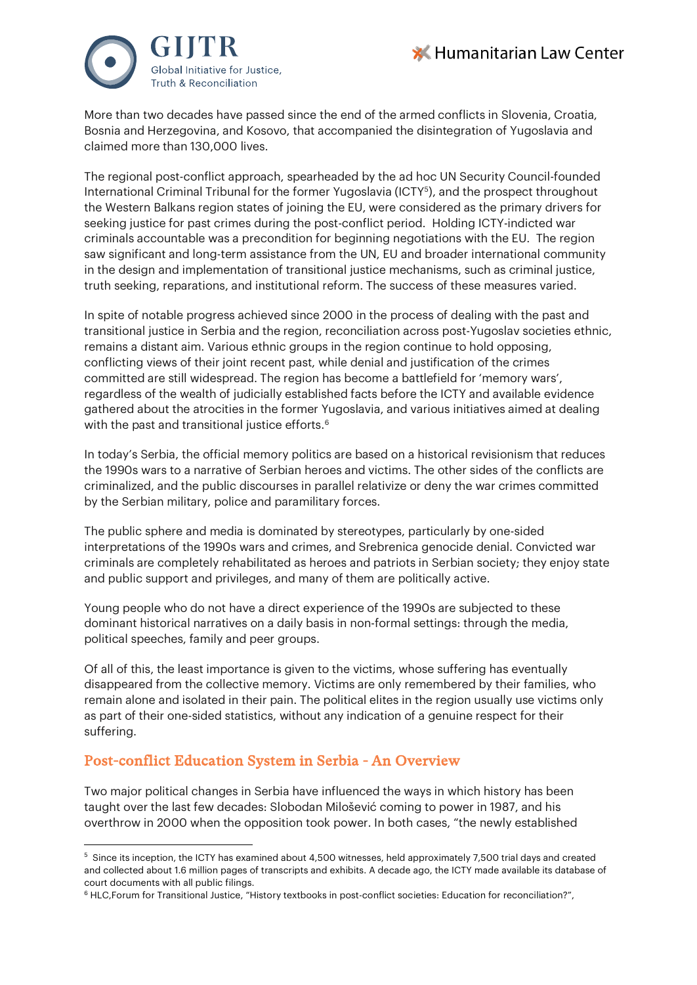



More than two decades have passed since the end of the armed conflicts in Slovenia, Croatia, Bosnia and Herzegovina, and Kosovo, that accompanied the disintegration of Yugoslavia and claimed more than 130,000 lives.

The regional post-conflict approach, spearheaded by the ad hoc UN Security Council-founded International Criminal Tribunal for the former Yugoslavia (ICTY[5](#page-1-0)), and the prospect throughout the Western Balkans region states of joining the EU, were considered as the primary drivers for seeking justice for past crimes during the post-conflict period. Holding ICTY-indicted war criminals accountable was a precondition for beginning negotiations with the EU. The region saw significant and long-term assistance from the UN, EU and broader international community in the design and implementation of transitional justice mechanisms, such as criminal justice, truth seeking, reparations, and institutional reform. The success of these measures varied.

In spite of notable progress achieved since 2000 in the process of dealing with the past and transitional justice in Serbia and the region, reconciliation across post-Yugoslav societies ethnic, remains a distant aim. Various ethnic groups in the region continue to hold opposing, conflicting views of their joint recent past, while denial and justification of the crimes committed are still widespread. The region has become a battlefield for 'memory wars', regardless of the wealth of judicially established facts before the ICTY and available evidence gathered about the atrocities in the former Yugoslavia, and various initiatives aimed at dealing with the past and transitional justice efforts.<sup>[6](#page-1-1)</sup>

In today's Serbia, the official memory politics are based on a historical revisionism that reduces the 1990s wars to a narrative of Serbian heroes and victims. The other sides of the conflicts are criminalized, and the public discourses in parallel relativize or deny the war crimes committed by the Serbian military, police and paramilitary forces.

The public sphere and media is dominated by stereotypes, particularly by one-sided interpretations of the 1990s wars and crimes, and Srebrenica genocide denial. Convicted war criminals are completely rehabilitated as heroes and patriots in Serbian society; they enjoy state and public support and privileges, and many of them are politically active.

Young people who do not have a direct experience of the 1990s are subjected to these dominant historical narratives on a daily basis in non-formal settings: through the media, political speeches, family and peer groups.

Of all of this, the least importance is given to the victims, whose suffering has eventually disappeared from the collective memory. Victims are only remembered by their families, who remain alone and isolated in their pain. The political elites in the region usually use victims only as part of their one-sided statistics, without any indication of a genuine respect for their suffering.

## Post-conflict Education System in Serbia - An Overview

Two major political changes in Serbia have influenced the ways in which history has been taught over the last few decades: Slobodan Milošević coming to power in 1987, and his overthrow in 2000 when the opposition took power. In both cases, "the newly established

<span id="page-1-0"></span> $^5$  Since its inception, the ICTY has examined about 4,500 witnesses, held approximately 7,500 trial days and created and collected about 1.6 million pages of transcripts and exhibits. A decade ago, the ICTY made available its database of court documents with all public filings.

<span id="page-1-1"></span><sup>6</sup> HLC,Forum for Transitional Justice, "History textbooks in post-conflict societies: Education for reconciliation?",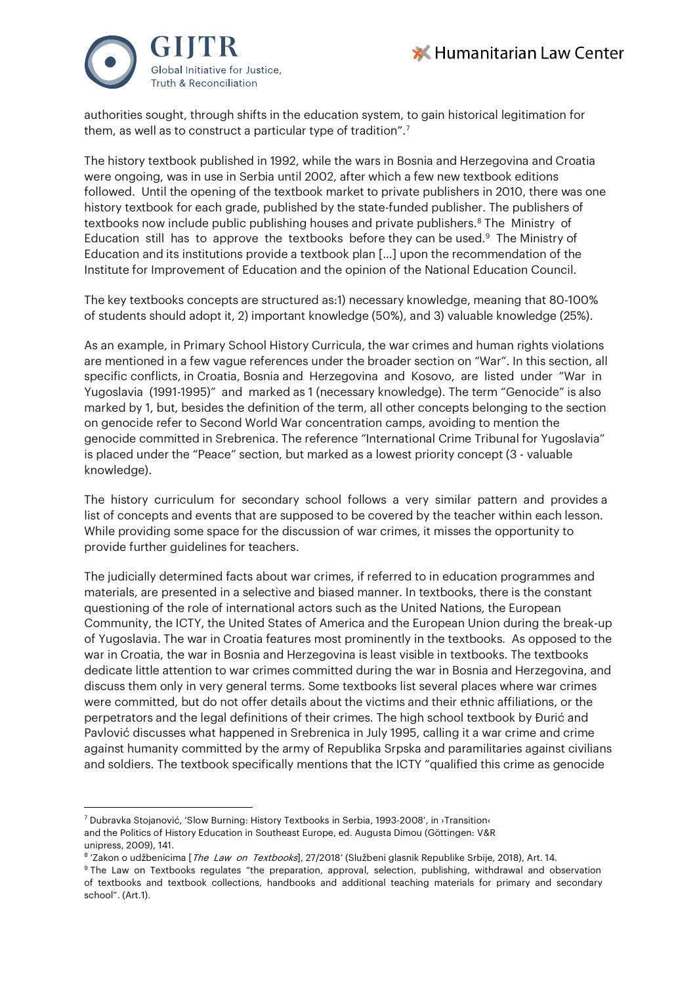



authorities sought, through shifts in the education system, to gain historical legitimation for them, as well as to construct a particular type of tradition".<sup>7</sup>

The history textbook published in 1992, while the wars in Bosnia and Herzegovina and Croatia were ongoing, was in use in Serbia until 2002, after which a few new textbook editions followed. Until the opening of the textbook market to private publishers in 2010, there was one history textbook for each grade, published by the state-funded publisher. The publishers of textbooks now include public publishing houses and private publishers.<sup>[8](#page-2-1)</sup> The Ministry of Education still has to approve the textbooks before they can be used. $9$  The Ministry of Education and its institutions provide a textbook plan […] upon the recommendation of the Institute for Improvement of Education and the opinion of the National Education Council.

The key textbooks concepts are structured as:1) necessary knowledge, meaning that 80-100% of students should adopt it, 2) important knowledge (50%), and 3) valuable knowledge (25%).

As an example, in Primary School History Curricula, the war crimes and human rights violations are mentioned in a few vague references under the broader section on "War". In this section, all specific conflicts, in Croatia, Bosnia and Herzegovina and Kosovo, are listed under "War in Yugoslavia (1991-1995)" and marked as 1 (necessary knowledge). The term "Genocide" is also marked by 1, but, besides the definition of the term, all other concepts belonging to the section on genocide refer to Second World War concentration camps, avoiding to mention the genocide committed in Srebrenica. The reference "International Crime Tribunal for Yugoslavia" is placed under the "Peace" section, but marked as a lowest priority concept (3 - valuable knowledge).

The history curriculum for secondary school follows a very similar pattern and provides a list of concepts and events that are supposed to be covered by the teacher within each lesson. While providing some space for the discussion of war crimes, it misses the opportunity to provide further guidelines for teachers.

The judicially determined facts about war crimes, if referred to in education programmes and materials, are presented in a selective and biased manner. In textbooks, there is the constant questioning of the role of international actors such as the United Nations, the European Community, the ICTY, the United States of America and the European Union during the break-up of Yugoslavia. The war in Croatia features most prominently in the textbooks. As opposed to the war in Croatia, the war in Bosnia and Herzegovina is least visible in textbooks. The textbooks dedicate little attention to war crimes committed during the war in Bosnia and Herzegovina, and discuss them only in very general terms. Some textbooks list several places where war crimes were committed, but do not offer details about the victims and their ethnic affiliations, or the perpetrators and the legal definitions of their crimes. The high school textbook by Đurić and Pavlović discusses what happened in Srebrenica in July 1995, calling it a war crime and crime against humanity committed by the army of Republika Srpska and paramilitaries against civilians and soldiers. The textbook specifically mentions that the ICTY "qualified this crime as genocide

<span id="page-2-0"></span><sup>&</sup>lt;sup>7</sup> Dubravka Stojanović, 'Slow Burning: History Textbooks in Serbia, 1993-2008', in <sup>3</sup>Transition‹ and the Politics of History Education in Southeast Europe, ed. Augusta Dimou (Göttingen: V&R unipress, 2009), 141.

<span id="page-2-1"></span><sup>8 &#</sup>x27;Zakon o udžbenicima [The Law on Textbooks], 27/2018' (Službeni glasnik Republike Srbije, 2018), Art. 14.

<span id="page-2-2"></span><sup>9</sup> The Law on Textbooks regulates "the preparation, approval, selection, publishing, withdrawal and observation of textbooks and textbook collections, handbooks and additional teaching materials for primary and secondary school". (Art.1).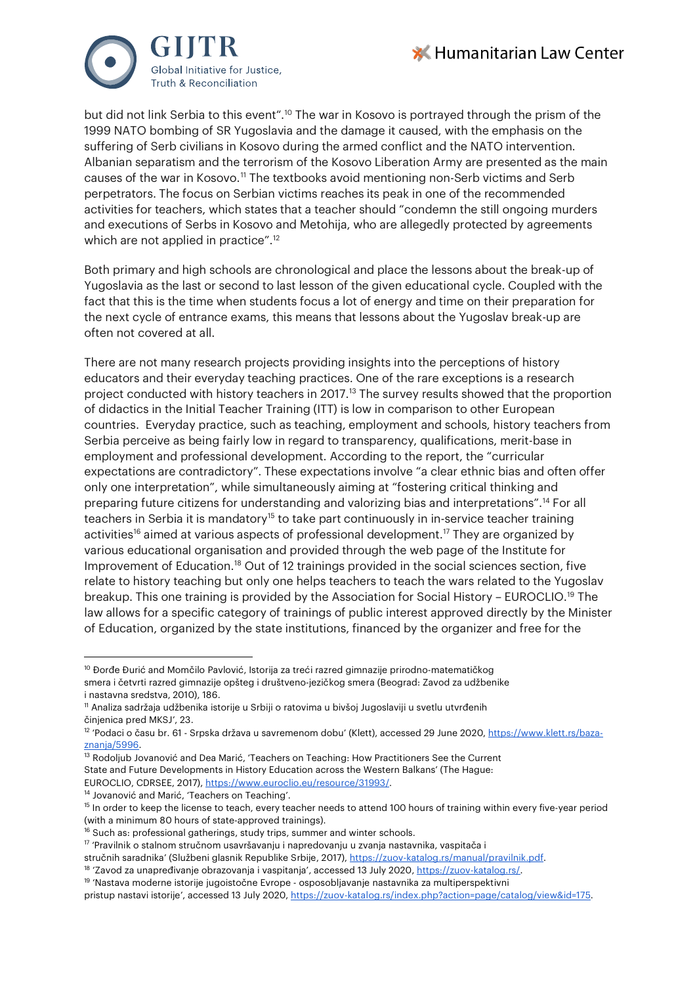



but did not link Serbia to this event"[.10](#page-3-0) The war in Kosovo is portrayed through the prism of the 1999 NATO bombing of SR Yugoslavia and the damage it caused, with the emphasis on the suffering of Serb civilians in Kosovo during the armed conflict and the NATO intervention. Albanian separatism and the terrorism of the Kosovo Liberation Army are presented as the main causes of the war in Kosovo.[11](#page-3-1) The textbooks avoid mentioning non-Serb victims and Serb perpetrators. The focus on Serbian victims reaches its peak in one of the recommended activities for teachers, which states that a teacher should "condemn the still ongoing murders and executions of Serbs in Kosovo and Metohija, who are allegedly protected by agreements which are not applied in practice".<sup>[12](#page-3-2)</sup>

Both primary and high schools are chronological and place the lessons about the break-up of Yugoslavia as the last or second to last lesson of the given educational cycle. Coupled with the fact that this is the time when students focus a lot of energy and time on their preparation for the next cycle of entrance exams, this means that lessons about the Yugoslav break-up are often not covered at all.

There are not many research projects providing insights into the perceptions of history educators and their everyday teaching practices. One of the rare exceptions is a research project conducted with history teachers in 2017.[13](#page-3-3) The survey results showed that the proportion of didactics in the Initial Teacher Training (ITT) is low in comparison to other European countries. Everyday practice, such as teaching, employment and schools, history teachers from Serbia perceive as being fairly low in regard to transparency, qualifications, merit-base in employment and professional development. According to the report, the "curricular expectations are contradictory". These expectations involve "a clear ethnic bias and often offer only one interpretation", while simultaneously aiming at "fostering critical thinking and preparing future citizens for understanding and valorizing bias and interpretations".[14](#page-3-4) For all teachers in Serbia it is mandatory<sup>[15](#page-3-5)</sup> to take part continuously in in-service teacher training activities<sup>16</sup> aimed at various aspects of professional development.<sup>[17](#page-3-7)</sup> They are organized by various educational organisation and provided through the web page of the Institute for Improvement of Education[.18](#page-3-8) Out of 12 trainings provided in the social sciences section, five relate to history teaching but only one helps teachers to teach the wars related to the Yugoslav breakup. This one training is provided by the Association for Social History – EUROCLIO.[19](#page-3-9) The law allows for a specific category of trainings of public interest approved directly by the Minister of Education, organized by the state institutions, financed by the organizer and free for the

- <span id="page-3-3"></span>State and Future Developments in History Education across the Western Balkans' (The Hague:
- EUROCLIO, CDRSEE, 2017), [https://www.euroclio.eu/resource/31993/.](https://www.euroclio.eu/resource/31993/)

<span id="page-3-8"></span>stručnih saradnika' (Službeni glasnik Republike Srbije, 2017), https://zuov-katalog.rs/manual/pravilnik.pdf.<br><sup>18</sup> 'Zavod za unapređivanje obrazovanja i vaspitanja', accessed 13 July 2020[, https://zuov-katalog.rs/.](https://zuov-katalog.rs/)

<span id="page-3-0"></span><sup>&</sup>lt;sup>10</sup> Đorđe Đurić and Momčilo Pavlović, Istorija za treći razred gimnazije prirodno-matematičkog smera i četvrti razred gimnazije opšteg i društveno-jezičkog smera (Beograd: Zavod za udžbenike i nastavna sredstva, 2010), 186.

<span id="page-3-1"></span><sup>11</sup> Analiza sadržaja udžbenika istorije u Srbiji o ratovima u bivšoj Jugoslaviji u svetlu utvrđenih činjenica pred MKSJ', 23.

<span id="page-3-2"></span><sup>&</sup>lt;sup>12</sup> 'Podaci o času br. 61 - Srpska država u savremenom dobu' (Klett), accessed 29 June 2020[, https://www.klett.rs/baza](https://www.klett.rs/baza-znanja/5996)znanja/5996.<br><sup>13</sup> Rodoljub Jovanović and Dea Marić, 'Teachers on Teaching: How Practitioners See the Current

<span id="page-3-4"></span><sup>&</sup>lt;sup>14</sup> Jovanović and Marić, 'Teachers on Teaching'.

<span id="page-3-5"></span><sup>&</sup>lt;sup>15</sup> In order to keep the license to teach, every teacher needs to attend 100 hours of training within every five-year period (with a minimum 80 hours of state-approved trainings).

<span id="page-3-7"></span><span id="page-3-6"></span><sup>&</sup>lt;sup>16</sup> Such as: professional gatherings, study trips, summer and winter schools.<br><sup>17</sup> 'Pravilnik o stalnom stručnom usavršavanju i napredovanju u zvanja nastavnika, vaspitača i

<span id="page-3-9"></span><sup>19</sup> 'Nastava moderne istorije jugoistočne Evrope - osposobljavanje nastavnika za multiperspektivni

pristup nastavi istorije', accessed 13 July 2020, [https://zuov-katalog.rs/index.php?action=page/catalog/view&id=175.](https://zuov-katalog.rs/index.php?action=page/catalog/view&id=175)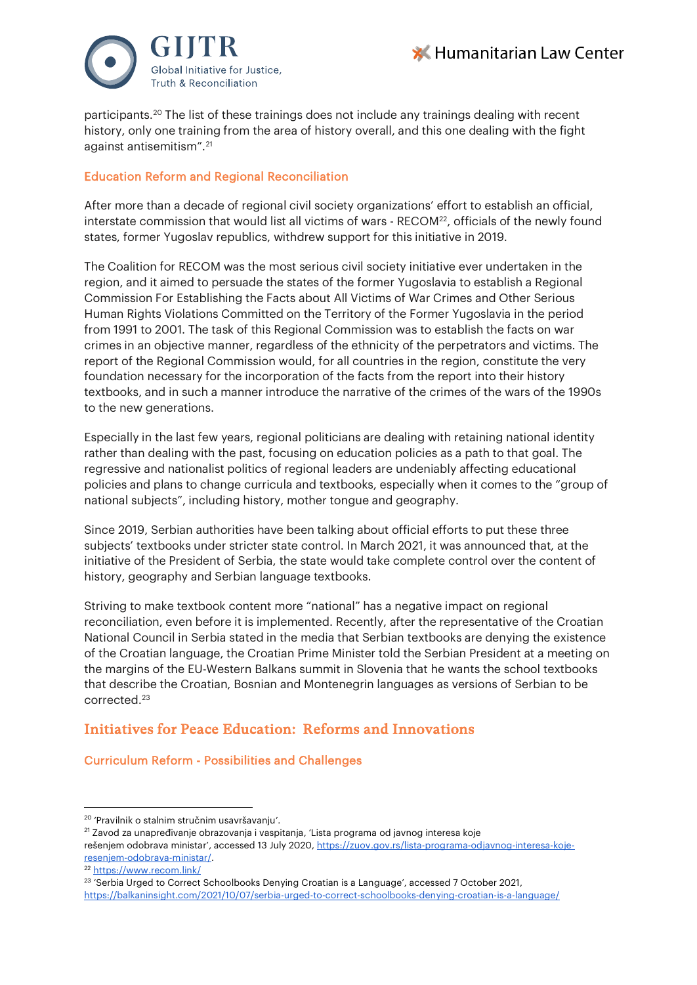



participants.[20](#page-4-0) The list of these trainings does not include any trainings dealing with recent history, only one training from the area of history overall, and this one dealing with the fight against antisemitism".[21](#page-4-1)

#### Education Reform and Regional Reconciliation

After more than a decade of regional civil society organizations' effort to establish an official, interstate commission that would list all victims of wars - RECOM<sup>[22](#page-4-2)</sup>, officials of the newly found states, former Yugoslav republics, withdrew support for this initiative in 2019.

The Coalition for RECOM was the most serious civil society initiative ever undertaken in the region, and it aimed to persuade the states of the former Yugoslavia to establish a Regional Commission For Establishing the Facts about All Victims of War Crimes and Other Serious Human Rights Violations Committed on the Territory of the Former Yugoslavia in the period from 1991 to 2001. The task of this Regional Commission was to establish the facts on war crimes in an objective manner, regardless of the ethnicity of the perpetrators and victims. The report of the Regional Commission would, for all countries in the region, constitute the very foundation necessary for the incorporation of the facts from the report into their history textbooks, and in such a manner introduce the narrative of the crimes of the wars of the 1990s to the new generations.

Especially in the last few years, regional politicians are dealing with retaining national identity rather than dealing with the past, focusing on education policies as a path to that goal. The regressive and nationalist politics of regional leaders are undeniably affecting educational policies and plans to change curricula and textbooks, especially when it comes to the "group of national subjects", including history, mother tongue and geography.

Since 2019, Serbian authorities have been talking about official efforts to put these three subjects' textbooks under stricter state control. In March 2021, it was announced that, at the initiative of the President of Serbia, the state would take complete control over the content of history, geography and Serbian language textbooks.

Striving to make textbook content more "national" has a negative impact on regional reconciliation, even before it is implemented. Recently, after the representative of the Croatian National Council in Serbia stated in the media that Serbian textbooks are denying the existence of the Croatian language, the Croatian Prime Minister told the Serbian President at a meeting on the margins of the EU-Western Balkans summit in Slovenia that he wants the school textbooks that describe the Croatian, Bosnian and Montenegrin languages as versions of Serbian to be corrected[.23](#page-4-3)

## Initiatives for Peace Education: Reforms and Innovations

#### Curriculum Reform - Possibilities and Challenges

<span id="page-4-0"></span><sup>20</sup> 'Pravilnik o stalnim stručnim usavršavanju'.

<span id="page-4-1"></span><sup>21</sup> Zavod za unapređivanje obrazovanja i vaspitanja, 'Lista programa od javnog interesa koje

rešenjem odobrava ministar', accessed 13 July 2020, [https://zuov.gov.rs/lista-programa-odjavnog-interesa-koje](https://zuov.gov.rs/lista-programa-odjavnog-interesa-koje-resenjem-odobrava-ministar/)[resenjem-odobrava-ministar/.](https://zuov.gov.rs/lista-programa-odjavnog-interesa-koje-resenjem-odobrava-ministar/)

<span id="page-4-2"></span><sup>22</sup> <https://www.recom.link/>

<span id="page-4-3"></span><sup>23</sup> 'Serbia Urged to Correct Schoolbooks Denying Croatian is a Language', accessed 7 October 2021, <https://balkaninsight.com/2021/10/07/serbia-urged-to-correct-schoolbooks-denying-croatian-is-a-language/>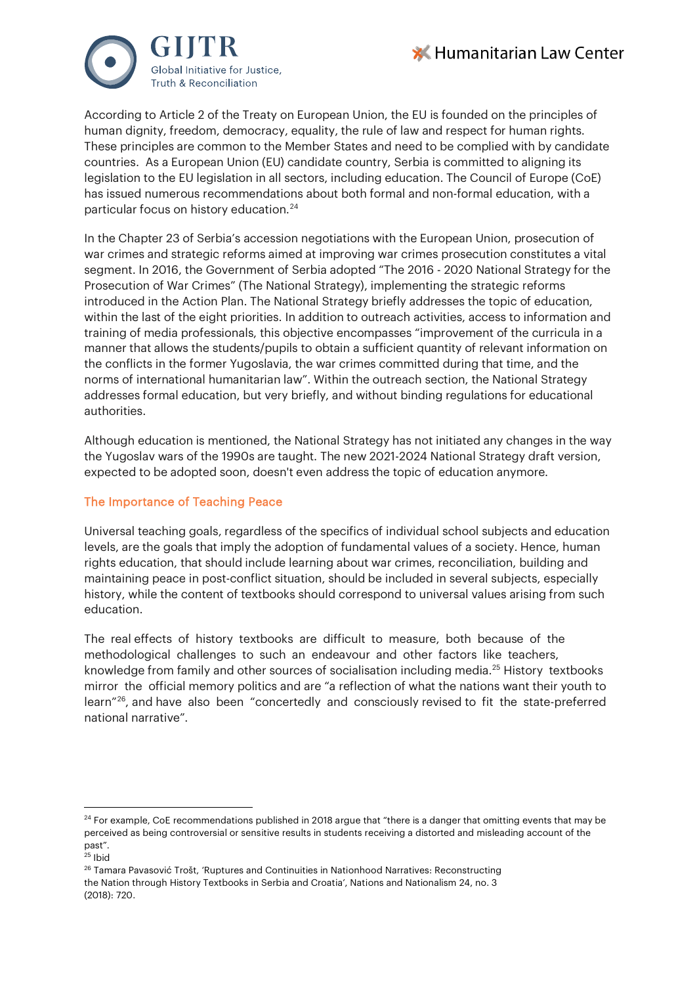



According to Article 2 of the Treaty on European Union, the EU is founded on the principles of human dignity, freedom, democracy, equality, the rule of law and respect for human rights. These principles are common to the Member States and need to be complied with by candidate countries. As a European Union (EU) candidate country, Serbia is committed to aligning its legislation to the EU legislation in all sectors, including education. The Council of Europe (CoE) has issued numerous recommendations about both formal and non-formal education, with a particular focus on history education.[24](#page-5-0)

In the Chapter 23 of Serbia's accession negotiations with the European Union, prosecution of war crimes and strategic reforms aimed at improving war crimes prosecution constitutes a vital segment. In 2016, the Government of Serbia adopted "The 2016 - 2020 National Strategy for the Prosecution of War Crimes" (The National Strategy), implementing the strategic reforms introduced in the Action Plan. The National Strategy briefly addresses the topic of education, within the last of the eight priorities. In addition to outreach activities, access to information and training of media professionals, this objective encompasses "improvement of the curricula in a manner that allows the students/pupils to obtain a sufficient quantity of relevant information on the conflicts in the former Yugoslavia, the war crimes committed during that time, and the norms of international humanitarian law". Within the outreach section, the National Strategy addresses formal education, but very briefly, and without binding regulations for educational authorities.

Although education is mentioned, the National Strategy has not initiated any changes in the way the Yugoslav wars of the 1990s are taught. The new 2021-2024 National Strategy draft version, expected to be adopted soon, doesn't even address the topic of education anymore.

#### The Importance of Teaching Peace

Universal teaching goals, regardless of the specifics of individual school subjects and education levels, are the goals that imply the adoption of fundamental values of a society. Hence, human rights education, that should include learning about war crimes, reconciliation, building and maintaining peace in post-conflict situation, should be included in several subjects, especially history, while the content of textbooks should correspond to universal values arising from such education.

The real effects of history textbooks are difficult to measure, both because of the methodological challenges to such an endeavour and other factors like teachers, knowledge from family and other sources of socialisation including media.[25](#page-5-1) History textbooks mirror the official memory politics and are "a reflection of what the nations want their youth to learn"[26](#page-5-2), and have also been "concertedly and consciously revised to fit the state-preferred national narrative".

<span id="page-5-0"></span> $24$  For example, CoE recommendations published in 2018 argue that "there is a danger that omitting events that may be perceived as being controversial or sensitive results in students receiving a distorted and misleading account of the past".

<span id="page-5-1"></span> $25$  Ibid

<span id="page-5-2"></span><sup>&</sup>lt;sup>26</sup> Tamara Pavasović Trošt, 'Ruptures and Continuities in Nationhood Narratives: Reconstructing the Nation through History Textbooks in Serbia and Croatia', Nations and Nationalism 24, no. 3 (2018): 720.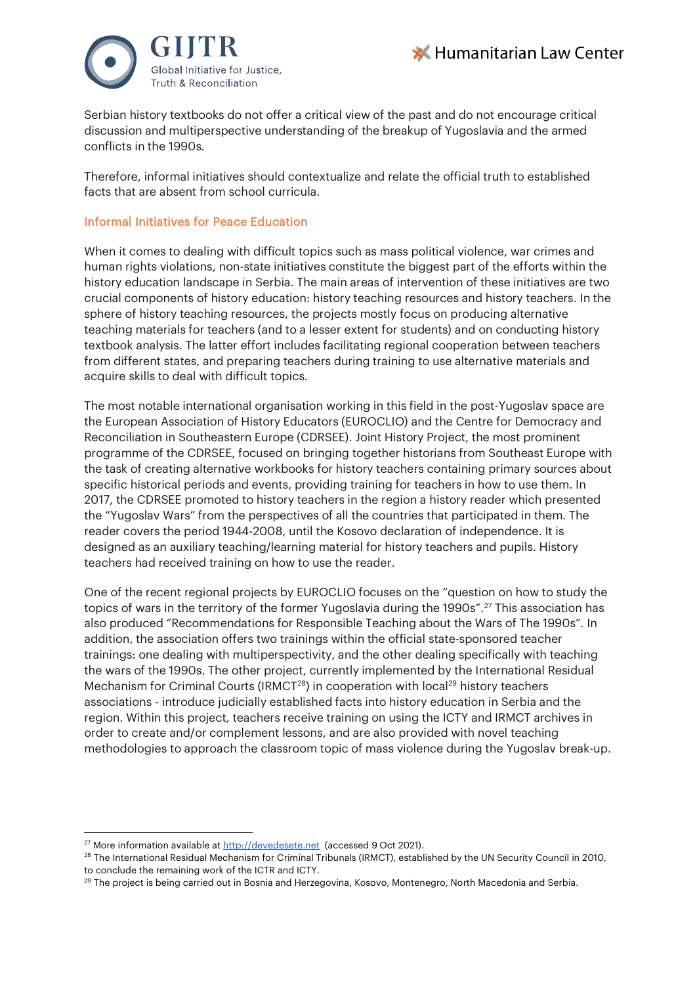



Serbian history textbooks do not offer a critical view of the past and do not encourage critical discussion and multiperspective understanding of the breakup of Yugoslavia and the armed conflicts in the 1990s.

Therefore, informal initiatives should contextualize and relate the official truth to established facts that are absent from school curricula.

#### Informal Initiatives for Peace Education

When it comes to dealing with difficult topics such as mass political violence, war crimes and human rights violations, non-state initiatives constitute the biggest part of the efforts within the history education landscape in Serbia. The main areas of intervention of these initiatives are two crucial components of history education: history teaching resources and history teachers. In the sphere of history teaching resources, the projects mostly focus on producing alternative teaching materials for teachers (and to a lesser extent for students) and on conducting history textbook analysis. The latter effort includes facilitating regional cooperation between teachers from different states, and preparing teachers during training to use alternative materials and acquire skills to deal with difficult topics.

The most notable international organisation working in this field in the post-Yugoslav space are the European Association of History Educators (EUROCLIO) and the Centre for Democracy and Reconciliation in Southeastern Europe (CDRSEE). Joint History Project, the most prominent programme of the CDRSEE, focused on bringing together historians from Southeast Europe with the task of creating alternative workbooks for history teachers containing primary sources about specific historical periods and events, providing training for teachers in how to use them. In 2017, the CDRSEE promoted to history teachers in the region a history reader which presented the "Yugoslav Wars" from the perspectives of all the countries that participated in them. The reader covers the period 1944-2008, until the Kosovo declaration of independence. It is designed as an auxiliary teaching/learning material for history teachers and pupils. History teachers had received training on how to use the reader.

One of the recent regional projects by EUROCLIO focuses on the "question on how to study the topics of wars in the territory of the former Yugoslavia during the 1990s".<sup>[27](#page-6-0)</sup> This association has also produced "Recommendations for Responsible Teaching about the Wars of The 1990s". In addition, the association offers two trainings within the official state-sponsored teacher trainings: one dealing with multiperspectivity, and the other dealing specifically with teaching the wars of the 1990s. The other project, currently implemented by the International Residual Mechanism for Criminal Courts (IRMCT<sup>28</sup>) in cooperation with local<sup>[29](#page-6-2)</sup> history teachers associations - introduce judicially established facts into history education in Serbia and the region. Within this project, teachers receive training on using the ICTY and IRMCT archives in order to create and/or complement lessons, and are also provided with novel teaching methodologies to approach the classroom topic of mass violence during the Yugoslav break-up.

<span id="page-6-0"></span> $27$  More information available at  $\frac{http://devedesete.net}{http://devedesete.net}$  (accessed 9 Oct 2021).

<span id="page-6-1"></span><sup>&</sup>lt;sup>28</sup> The International Residual Mechanism for Criminal Tribunals (IRMCT), established by the UN Security Council in 2010, to conclude the remaining work of the ICTR and ICTY.

<span id="page-6-2"></span><sup>&</sup>lt;sup>29</sup> The project is being carried out in Bosnia and Herzegovina, Kosovo, Montenegro, North Macedonia and Serbia.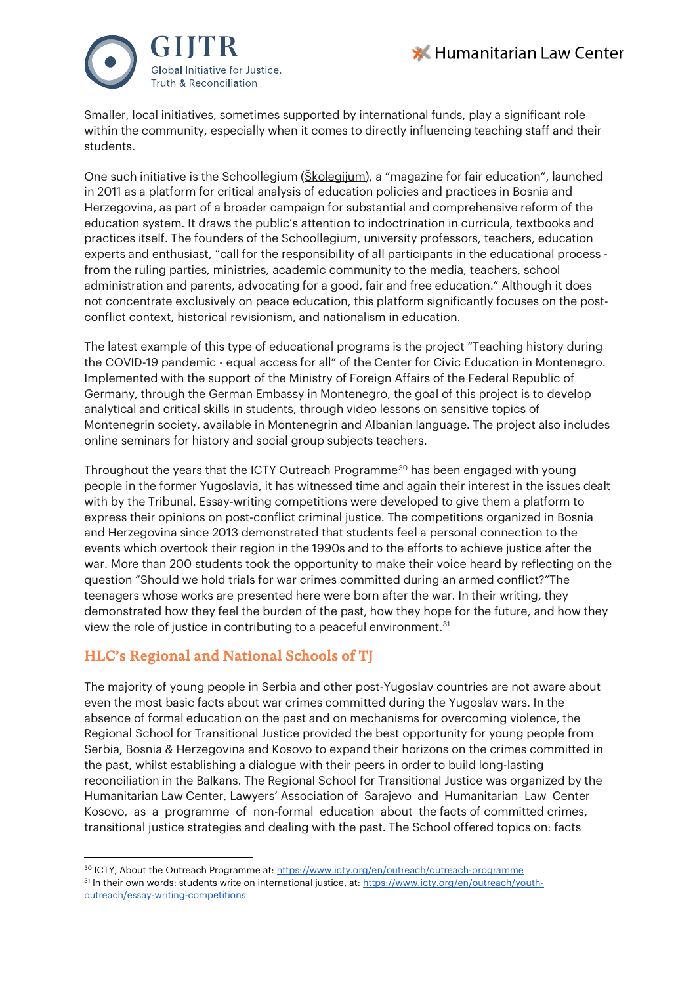



Smaller, local initiatives, sometimes supported by international funds, play a significant role within the community, especially when it comes to directly influencing teaching staff and their students.

One such initiative is the Schoollegium [\(Školegijum\)](https://www.skolegijum.ba/), a "magazine for fair education", launched in 2011 as a platform for critical analysis of education policies and practices in Bosnia and Herzegovina, as part of a broader campaign for substantial and comprehensive reform of the education system. It draws the public's attention to indoctrination in curricula, textbooks and practices itself. The founders of the Schoollegium, university professors, teachers, education experts and enthusiast, "call for the responsibility of all participants in the educational process from the ruling parties, ministries, academic community to the media, teachers, school administration and parents, advocating for a good, fair and free education." Although it does not concentrate exclusively on peace education, this platform significantly focuses on the postconflict context, historical revisionism, and nationalism in education.

The latest example of this type of educational programs is the project ["Teaching history during](http://cgo-cce.org/en/programi/ljudska-prava/ljudska-prava-jednake-mogucnosti/nastava-istorije-tokom-covid-19-pandemije-jednak-pristup-za-sve/#.YV-dDTEzZdg)  [the COVID-19 pandemic](http://cgo-cce.org/en/programi/ljudska-prava/ljudska-prava-jednake-mogucnosti/nastava-istorije-tokom-covid-19-pandemije-jednak-pristup-za-sve/#.YV-dDTEzZdg) - equal access for all" of the Center for Civic Education in Montenegro. Implemented with the support of the Ministry of Foreign Affairs of the Federal Republic of Germany, through the German Embassy in Montenegro, the goal of this project is to develop analytical and critical skills in students, through video lessons on sensitive topics of Montenegrin society, available in Montenegrin and Albanian language. The project also includes online seminars for history and social group subjects teachers.

Throughout the years that the ICTY Outreach Programme<sup>[30](#page-7-0)</sup> has been engaged with young people in the former Yugoslavia, it has witnessed time and again their interest in the issues dealt with by the Tribunal. Essay-writing competitions were developed to give them a platform to express their opinions on post-conflict criminal justice. The competitions organized in Bosnia and Herzegovina since 2013 demonstrated that students feel a personal connection to the events which overtook their region in the 1990s and to the efforts to achieve justice after the war. More than 200 students took the opportunity to make their voice heard by reflecting on the question "Should we hold trials for war crimes committed during an armed conflict?"The teenagers whose works are presented here were born after the war. In their writing, they demonstrated how they feel the burden of the past, how they hope for the future, and how they view the role of justice in contributing to a peaceful environment.<sup>[31](#page-7-1)</sup>

# HLC's Regional and National Schools of TJ

The majority of young people in Serbia and other post-Yugoslav countries are not aware about even the most basic facts about war crimes committed during the Yugoslav wars. In the absence of formal education on the past and on mechanisms for overcoming violence, the Regional School for Transitional Justice provided the best opportunity for young people from Serbia, Bosnia & Herzegovina and Kosovo to expand their horizons on the crimes committed in the past, whilst establishing a dialogue with their peers in order to build long-lasting reconciliation in the Balkans. The Regional School for Transitional Justice was organized by the Humanitarian Law Center, Lawyers' Association of Sarajevo and Humanitarian Law Center Kosovo, as a programme of non-formal education about the facts of committed crimes, transitional justice strategies and dealing with the past. The School offered topics on: facts

<span id="page-7-1"></span><span id="page-7-0"></span><sup>&</sup>lt;sup>30</sup> ICTY, About the Outreach Programme at[: https://www.icty.org/en/outreach/outreach-programme](https://www.icty.org/en/outreach/outreach-programme) 31 In their own words: students write on international justice, at[: https://www.icty.org/en/outreach/youth](https://www.icty.org/en/outreach/youth-outreach/essay-writing-competitions)[outreach/essay-writing-competitions](https://www.icty.org/en/outreach/youth-outreach/essay-writing-competitions)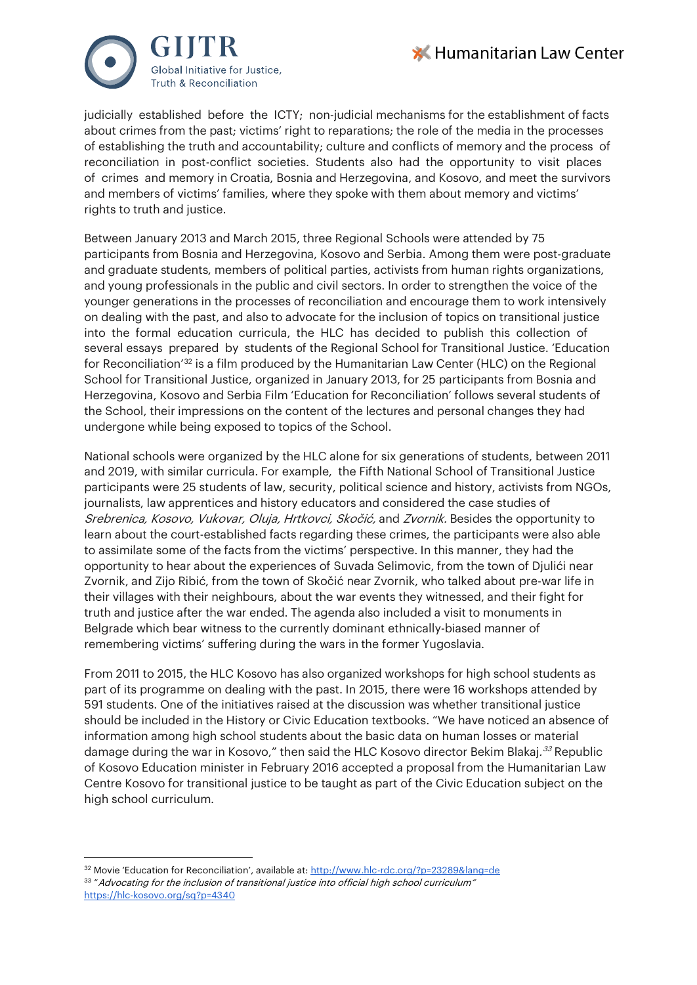



judicially established before the ICTY; non-judicial mechanisms for the establishment of facts about crimes from the past; victims' right to reparations; the role of the media in the processes of establishing the truth and accountability; culture and conflicts of memory and the process of reconciliation in post-conflict societies. Students also had the opportunity to visit places of crimes and memory in Croatia, Bosnia and Herzegovina, and Kosovo, and meet the survivors and members of victims' families, where they spoke with them about memory and victims' rights to truth and justice.

Between January 2013 and March 2015, three Regional Schools were attended by 75 participants from Bosnia and Herzegovina, Kosovo and Serbia. Among them were post-graduate and graduate students, members of political parties, activists from human rights organizations, and young professionals in the public and civil sectors. In order to strengthen the voice of the younger generations in the processes of reconciliation and encourage them to work intensively on dealing with the past, and also to advocate for the inclusion of topics on transitional justice into the formal education curricula, the HLC has decided to publish this collection of several essays prepared by students of the Regional School for Transitional Justice. 'Education for Reconciliation['32](#page-8-0) is a film produced by the Humanitarian Law Center (HLC) on the Regional School for Transitional Justice, organized in January 2013, for 25 participants from Bosnia and Herzegovina, Kosovo and Serbia Film 'Education for Reconciliation' follows several students of the School, their impressions on the content of the lectures and personal changes they had undergone while being exposed to topics of the School.

National schools were organized by the HLC alone for six generations of students, between 2011 and 2019, with similar curricula. For example, the Fifth National School of Transitional Justice participants were 25 students of law, security, political science and history, activists from NGOs, journalists, law apprentices and history educators and considered the case studies of Srebrenica, Kosovo, Vukovar, Oluja, Hrtkovci, Skočić, and Zvornik. Besides the opportunity to learn about the court-established facts regarding these crimes, the participants were also able to assimilate some of the facts from the victims' perspective. In this manner, they had the opportunity to hear about the experiences of Suvada Selimovic, from the town of Djulići near Zvornik, and Zijo Ribić, from the town of Skočić near Zvornik, who talked about pre-war life in their villages with their neighbours, about the war events they witnessed, and their fight for truth and justice after the war ended. The agenda also included a visit to monuments in Belgrade which bear witness to the currently dominant ethnically-biased manner of remembering victims' suffering during the wars in the former Yugoslavia.

From 2011 to 2015, the HLC Kosovo has also organized workshops for high school students as part of its programme on dealing with the past. In 2015, there were 16 workshops attended by 591 students. One of the initiatives raised at the discussion was whether transitional justice should be included in the History or Civic Education textbooks. "We have noticed an absence of information among high school students about the basic data on human losses or material damage during the war in Kosovo," then said the HLC Kosovo director Bekim Blakaj.<sup>[33](#page-8-1)</sup> Republic of Kosovo Education minister in February 2016 accepted a proposal from the Humanitarian Law Centre Kosovo for transitional justice to be taught as part of the Civic Education subject on the high school curriculum.

<span id="page-8-1"></span><span id="page-8-0"></span><sup>&</sup>lt;sup>32</sup> Movie 'Education for Reconciliation', available at[: http://www.hlc-rdc.org/?p=23289&lang=de](http://www.hlc-rdc.org/?p=23289&lang=de) 33 " Advocating for the inclusion of transitional justice into official high school curriculum" <https://hlc-kosovo.org/sq?p=4340>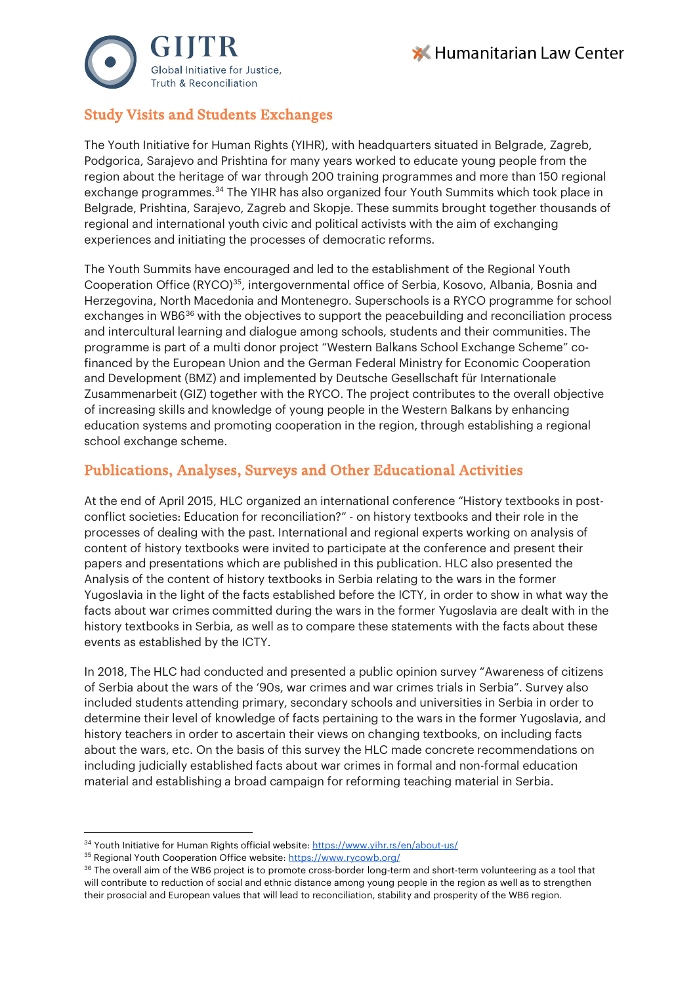



# Study Visits and Students Exchanges

The Youth Initiative for Human Rights (YIHR), with headquarters situated in Belgrade, Zagreb, Podgorica, Sarajevo and Prishtina for many years worked to educate young people from the region about the heritage of war through 200 training programmes and more than 150 regional exchange programmes.[34](#page-9-0) The YIHR has also organized four Youth Summits which took place in Belgrade, Prishtina, Sarajevo, Zagreb and Skopje. These summits brought together thousands of regional and international youth civic and political activists with the aim of exchanging experiences and initiating the processes of democratic reforms.

The Youth Summits have encouraged and led to the establishment of the Regional Youth Cooperation Office (RYCO)<sup>35</sup>, intergovernmental office of Serbia, Kosovo, Albania, Bosnia and Herzegovina, North Macedonia and Montenegro. Superschools is a RYCO programme for school exchanges in WB6<sup>[36](#page-9-2)</sup> with the objectives to support the peacebuilding and reconciliation process and intercultural learning and dialogue among schools, students and their communities. The programme is part of a multi donor project "Western Balkans School Exchange Scheme" cofinanced by the European Union and the German Federal Ministry for Economic Cooperation and Development (BMZ) and implemented by Deutsche Gesellschaft für Internationale Zusammenarbeit (GIZ) together with the RYCO. The project contributes to the overall objective of increasing skills and knowledge of young people in the Western Balkans by enhancing education systems and promoting cooperation in the region, through establishing a regional school exchange scheme.

## Publications, Analyses, Surveys and Other Educational Activities

At the end of April 2015, HLC organized an international conference "History textbooks in postconflict societies: Education for reconciliation?" - on history textbooks and their role in the processes of dealing with the past. International and regional experts working on analysis of content of history textbooks were invited to participate at the conference and present their papers and presentations which are published in this publication. HLC also presented the Analysis of the content of history textbooks in Serbia relating to the wars in the former Yugoslavia in the light of the facts established before the ICTY, in order to show in what way the facts about war crimes committed during the wars in the former Yugoslavia are dealt with in the history textbooks in Serbia, as well as to compare these statements with the facts about these events as established by the ICTY.

In 2018, The HLC had conducted and presented a public opinion survey "Awareness of citizens of Serbia about the wars of the '90s, war crimes and war crimes trials in Serbia". Survey also included students attending primary, secondary schools and universities in Serbia in order to determine their level of knowledge of facts pertaining to the wars in the former Yugoslavia, and history teachers in order to ascertain their views on changing textbooks, on including facts about the wars, etc. On the basis of this survey the HLC made concrete recommendations on including judicially established facts about war crimes in formal and non-formal education material and establishing a broad campaign for reforming teaching material in Serbia.

<span id="page-9-1"></span><span id="page-9-0"></span><sup>&</sup>lt;sup>34</sup> Youth Initiative for Human Rights official website:<https://www.yihr.rs/en/about-us/>

<sup>35</sup> Regional Youth Cooperation Office website:<https://www.rycowb.org/>

<span id="page-9-2"></span><sup>&</sup>lt;sup>36</sup> The overall aim of the WB6 project is to promote cross-border long-term and short-term volunteering as a tool that will contribute to reduction of social and ethnic distance among young people in the region as well as to strengthen their prosocial and European values that will lead to reconciliation, stability and prosperity of the WB6 region.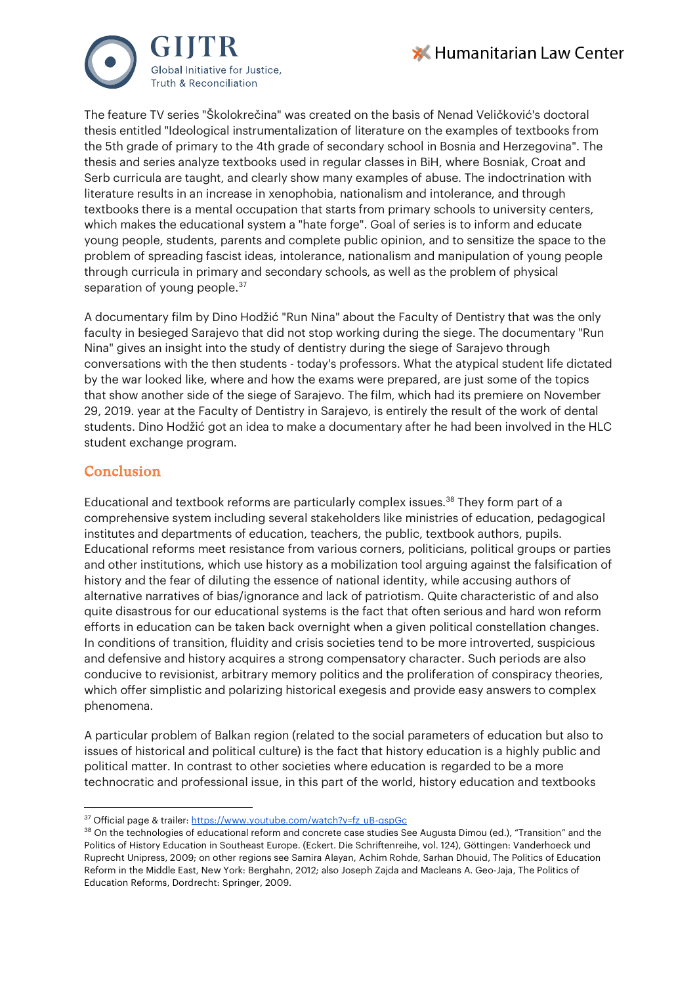



The feature TV series "Školokrečina" was created on the basis of Nenad Veličković's doctoral thesis entitled "Ideological instrumentalization of literature on the examples of textbooks from the 5th grade of primary to the 4th grade of secondary school in Bosnia and Herzegovina". The thesis and series analyze textbooks used in regular classes in BiH, where Bosniak, Croat and Serb curricula are taught, and clearly show many examples of abuse. The indoctrination with literature results in an increase in xenophobia, nationalism and intolerance, and through textbooks there is a mental occupation that starts from primary schools to university centers, which makes the educational system a "hate forge". Goal of series is to inform and educate young people, students, parents and complete public opinion, and to sensitize the space to the problem of spreading fascist ideas, intolerance, nationalism and manipulation of young people through curricula in primary and secondary schools, as well as the problem of physical separation of young people.<sup>[37](#page-10-0)</sup>

A documentary film by Dino Hodžić "Run Nina" about the Faculty of Dentistry that was the only faculty in besieged Sarajevo that did not stop working during the siege. The documentary "Run Nina" gives an insight into the study of dentistry during the siege of Sarajevo through conversations with the then students - today's professors. What the atypical student life dictated by the war looked like, where and how the exams were prepared, are just some of the topics that show another side of the siege of Sarajevo. The film, which had its premiere on November 29, 2019. year at the Faculty of Dentistry in Sarajevo, is entirely the result of the work of dental students. Dino Hodžić got an idea to make a documentary after he had been involved in the HLC student exchange program.

## Conclusion

Educational and textbook reforms are particularly complex issues[.38](#page-10-1) They form part of a comprehensive system including several stakeholders like ministries of education, pedagogical institutes and departments of education, teachers, the public, textbook authors, pupils. Educational reforms meet resistance from various corners, politicians, political groups or parties and other institutions, which use history as a mobilization tool arguing against the falsification of history and the fear of diluting the essence of national identity, while accusing authors of alternative narratives of bias/ignorance and lack of patriotism. Quite characteristic of and also quite disastrous for our educational systems is the fact that often serious and hard won reform efforts in education can be taken back overnight when a given political constellation changes. In conditions of transition, fluidity and crisis societies tend to be more introverted, suspicious and defensive and history acquires a strong compensatory character. Such periods are also conducive to revisionist, arbitrary memory politics and the proliferation of conspiracy theories, which offer simplistic and polarizing historical exegesis and provide easy answers to complex phenomena.

A particular problem of Balkan region (related to the social parameters of education but also to issues of historical and political culture) is the fact that history education is a highly public and political matter. In contrast to other societies where education is regarded to be a more technocratic and professional issue, in this part of the world, history education and textbooks

<span id="page-10-0"></span><sup>&</sup>lt;sup>37</sup> Official page & trailer: [https://www.youtube.com/watch?v=fz\\_uB-qspGc](https://www.youtube.com/watch?v=fz_uB-qspGc)

<span id="page-10-1"></span><sup>&</sup>lt;sup>38</sup> On the technologies of educational reform and concrete case studies See Augusta Dimou (ed.), "Transition" and the Politics of History Education in Southeast Europe. (Eckert. Die Schriftenreihe, vol. 124), Göttingen: Vanderhoeck und Ruprecht Unipress, 2009; on other regions see Samira Alayan, Achim Rohde, Sarhan Dhouid, The Politics of Education Reform in the Middle East, New York: Berghahn, 2012; also Joseph Zajda and Macleans A. Geo-Jaja, The Politics of Education Reforms, Dordrecht: Springer, 2009.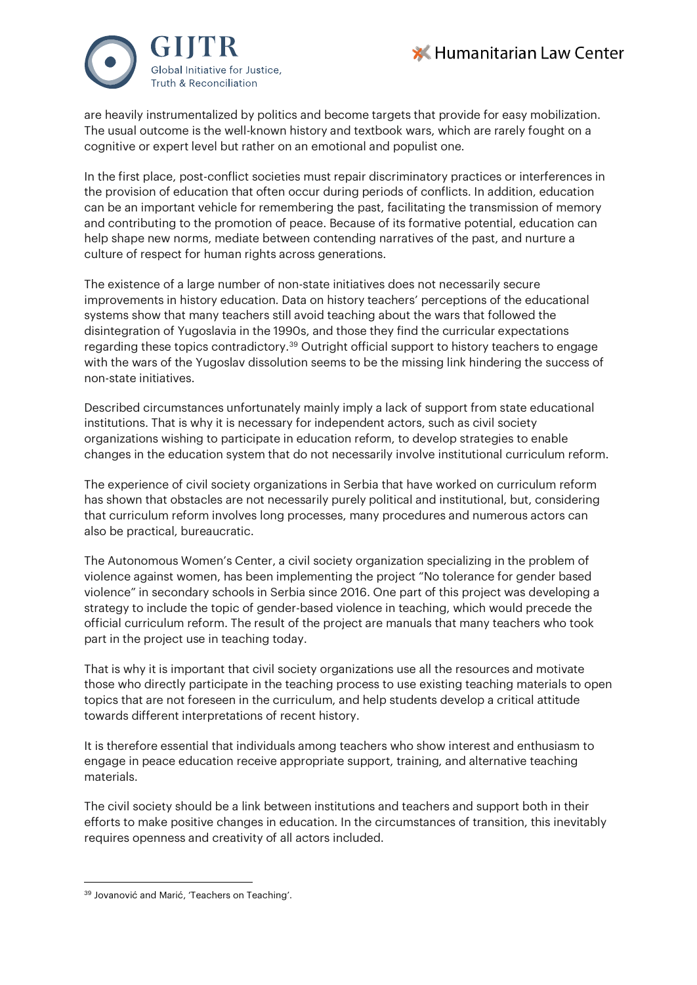



are heavily instrumentalized by politics and become targets that provide for easy mobilization. The usual outcome is the well-known history and textbook wars, which are rarely fought on a cognitive or expert level but rather on an emotional and populist one.

In the first place, post-conflict societies must repair discriminatory practices or interferences in the provision of education that often occur during periods of conflicts. In addition, education can be an important vehicle for remembering the past, facilitating the transmission of memory and contributing to the promotion of peace. Because of its formative potential, education can help shape new norms, mediate between contending narratives of the past, and nurture a culture of respect for human rights across generations.

The existence of a large number of non-state initiatives does not necessarily secure improvements in history education. Data on history teachers' perceptions of the educational systems show that many teachers still avoid teaching about the wars that followed the disintegration of Yugoslavia in the 1990s, and those they find the curricular expectations regarding these topics contradictory.<sup>39</sup> Outright official support to history teachers to engage with the wars of the Yugoslav dissolution seems to be the missing link hindering the success of non-state initiatives.

Described circumstances unfortunately mainly imply a lack of support from state educational institutions. That is why it is necessary for independent actors, such as civil society organizations wishing to participate in education reform, to develop strategies to enable changes in the education system that do not necessarily involve institutional curriculum reform.

The experience of civil society organizations in Serbia that have worked on curriculum reform has shown that obstacles are not necessarily purely political and institutional, but, considering that curriculum reform involves long processes, many procedures and numerous actors can also be practical, bureaucratic.

The Autonomous Women's Center, a civil society organization specializing in the problem of violence against women, has been implementing the project "No tolerance for gender based violence" in secondary schools in Serbia since 2016. One part of this project was developing a strategy to include the topic of gender-based violence in teaching, which would precede the official curriculum reform. The result of the project are manuals that many teachers who took part in the project use in teaching today.

That is why it is important that civil society organizations use all the resources and motivate those who directly participate in the teaching process to use existing teaching materials to open topics that are not foreseen in the curriculum, and help students develop a critical attitude towards different interpretations of recent history.

It is therefore essential that individuals among teachers who show interest and enthusiasm to engage in peace education receive appropriate support, training, and alternative teaching materials.

The civil society should be a link between institutions and teachers and support both in their efforts to make positive changes in education. In the circumstances of transition, this inevitably requires openness and creativity of all actors included.

<span id="page-11-0"></span><sup>39</sup> Jovanović and Marić, 'Teachers on Teaching'.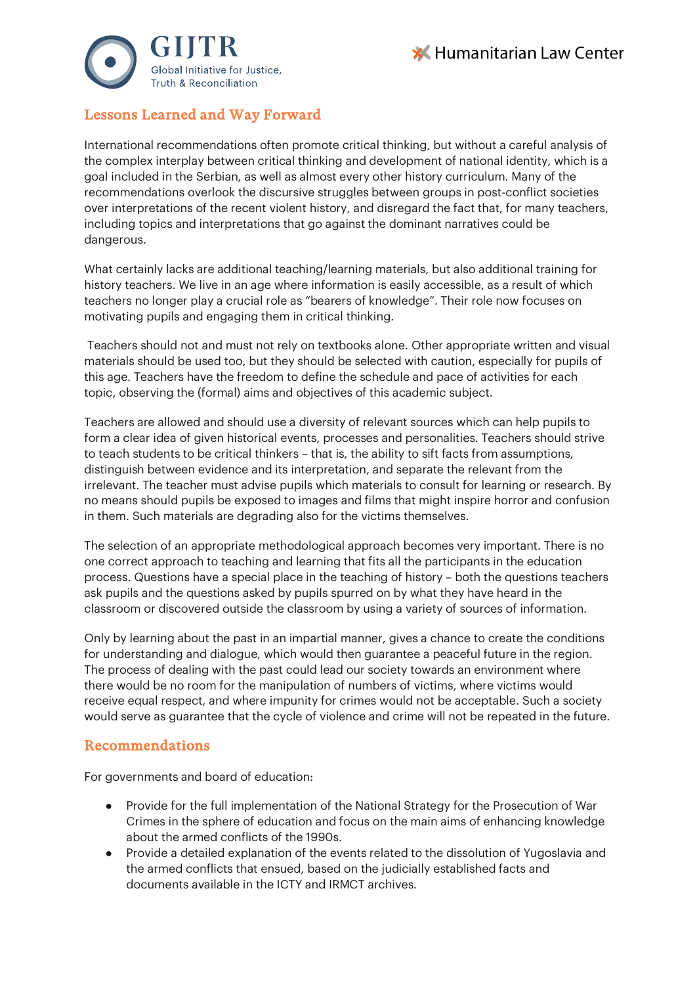



# Lessons Learned and Way Forward

International recommendations often promote critical thinking, but without a careful analysis of the complex interplay between critical thinking and development of national identity, which is a goal included in the Serbian, as well as almost every other history curriculum. Many of the recommendations overlook the discursive struggles between groups in post-conflict societies over interpretations of the recent violent history, and disregard the fact that, for many teachers, including topics and interpretations that go against the dominant narratives could be dangerous.

What certainly lacks are additional teaching/learning materials, but also additional training for history teachers. We live in an age where information is easily accessible, as a result of which teachers no longer play a crucial role as "bearers of knowledge". Their role now focuses on motivating pupils and engaging them in critical thinking.

Teachers should not and must not rely on textbooks alone. Other appropriate written and visual materials should be used too, but they should be selected with caution, especially for pupils of this age. Teachers have the freedom to define the schedule and pace of activities for each topic, observing the (formal) aims and objectives of this academic subject.

Teachers are allowed and should use a diversity of relevant sources which can help pupils to form a clear idea of given historical events, processes and personalities. Teachers should strive to teach students to be critical thinkers – that is, the ability to sift facts from assumptions, distinguish between evidence and its interpretation, and separate the relevant from the irrelevant. The teacher must advise pupils which materials to consult for learning or research. By no means should pupils be exposed to images and films that might inspire horror and confusion in them. Such materials are degrading also for the victims themselves.

The selection of an appropriate methodological approach becomes very important. There is no one correct approach to teaching and learning that fits all the participants in the education process. Questions have a special place in the teaching of history – both the questions teachers ask pupils and the questions asked by pupils spurred on by what they have heard in the classroom or discovered outside the classroom by using a variety of sources of information.

Only by learning about the past in an impartial manner, gives a chance to create the conditions for understanding and dialogue, which would then guarantee a peaceful future in the region. The process of dealing with the past could lead our society towards an environment where there would be no room for the manipulation of numbers of victims, where victims would receive equal respect, and where impunity for crimes would not be acceptable. Such a society would serve as guarantee that the cycle of violence and crime will not be repeated in the future.

## Recommendations

For governments and board of education:

- Provide for the full implementation of the National Strategy for the Prosecution of War Crimes in the sphere of education and focus on the main aims of enhancing knowledge about the armed conflicts of the 1990s.
- Provide a detailed explanation of the events related to the dissolution of Yugoslavia and the armed conflicts that ensued, based on the judicially established facts and documents available in the ICTY and IRMCT archives.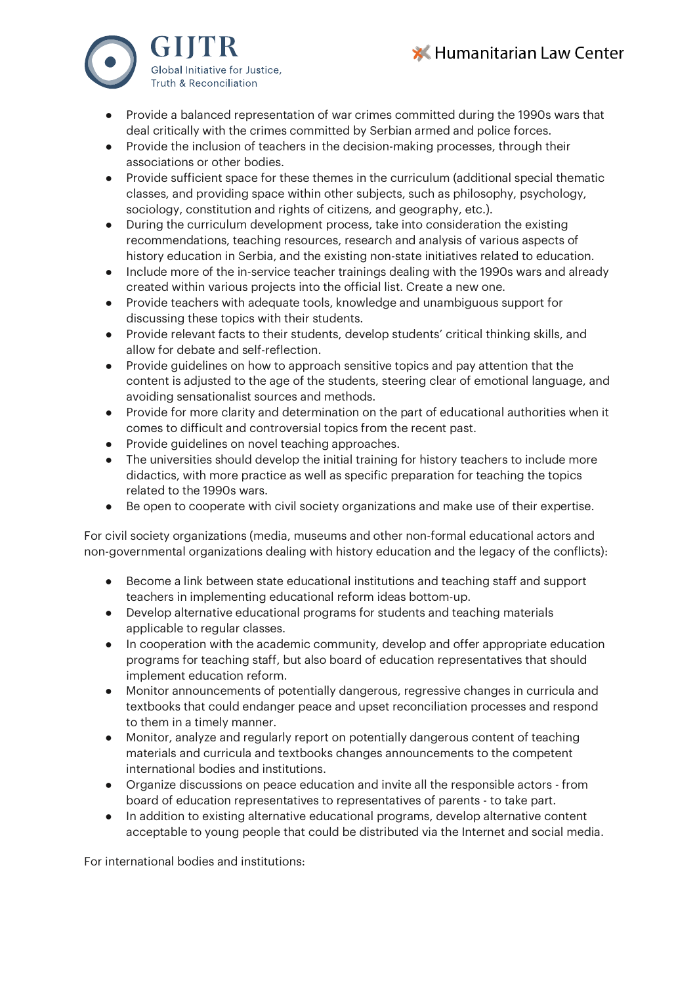



- Provide a balanced representation of war crimes committed during the 1990s wars that deal critically with the crimes committed by Serbian armed and police forces.
- Provide the inclusion of teachers in the decision-making processes, through their associations or other bodies.
- Provide sufficient space for these themes in the curriculum (additional special thematic classes, and providing space within other subjects, such as philosophy, psychology, sociology, constitution and rights of citizens, and geography, etc.).
- During the curriculum development process, take into consideration the existing recommendations, teaching resources, research and analysis of various aspects of history education in Serbia, and the existing non-state initiatives related to education.
- Include more of the in-service teacher trainings dealing with the 1990s wars and already created within various projects into the official list. Create a new one.
- Provide teachers with adequate tools, knowledge and unambiguous support for discussing these topics with their students.
- Provide relevant facts to their students, develop students' critical thinking skills, and allow for debate and self-reflection.
- Provide guidelines on how to approach sensitive topics and pay attention that the content is adjusted to the age of the students, steering clear of emotional language, and avoiding sensationalist sources and methods.
- Provide for more clarity and determination on the part of educational authorities when it comes to difficult and controversial topics from the recent past.
- Provide guidelines on novel teaching approaches.
- The universities should develop the initial training for history teachers to include more didactics, with more practice as well as specific preparation for teaching the topics related to the 1990s wars.
- Be open to cooperate with civil society organizations and make use of their expertise.

For civil society organizations (media, museums and other non-formal educational actors and non-governmental organizations dealing with history education and the legacy of the conflicts):

- Become a link between state educational institutions and teaching staff and support teachers in implementing educational reform ideas bottom-up.
- Develop alternative educational programs for students and teaching materials applicable to regular classes.
- In cooperation with the academic community, develop and offer appropriate education programs for teaching staff, but also board of education representatives that should implement education reform.
- Monitor announcements of potentially dangerous, regressive changes in curricula and textbooks that could endanger peace and upset reconciliation processes and respond to them in a timely manner.
- Monitor, analyze and regularly report on potentially dangerous content of teaching materials and curricula and textbooks changes announcements to the competent international bodies and institutions.
- Organize discussions on peace education and invite all the responsible actors from board of education representatives to representatives of parents - to take part.
- In addition to existing alternative educational programs, develop alternative content acceptable to young people that could be distributed via the Internet and social media.

For international bodies and institutions: